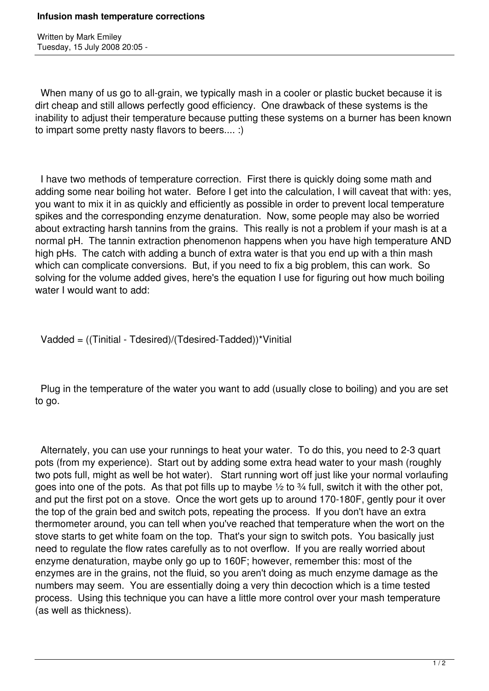Written by Mark Emiley Tuesday, 15 July 2008 20:05 -

 When many of us go to all-grain, we typically mash in a cooler or plastic bucket because it is dirt cheap and still allows perfectly good efficiency. One drawback of these systems is the inability to adjust their temperature because putting these systems on a burner has been known to impart some pretty nasty flavors to beers.... :)

 I have two methods of temperature correction. First there is quickly doing some math and adding some near boiling hot water. Before I get into the calculation, I will caveat that with: yes, you want to mix it in as quickly and efficiently as possible in order to prevent local temperature spikes and the corresponding enzyme denaturation. Now, some people may also be worried about extracting harsh tannins from the grains. This really is not a problem if your mash is at a normal pH. The tannin extraction phenomenon happens when you have high temperature AND high pHs. The catch with adding a bunch of extra water is that you end up with a thin mash which can complicate conversions. But, if you need to fix a big problem, this can work. So solving for the volume added gives, here's the equation I use for figuring out how much boiling water I would want to add:

Vadded = ((Tinitial - Tdesired)/(Tdesired-Tadded))\*Vinitial

 Plug in the temperature of the water you want to add (usually close to boiling) and you are set to go.

 Alternately, you can use your runnings to heat your water. To do this, you need to 2-3 quart pots (from my experience). Start out by adding some extra head water to your mash (roughly two pots full, might as well be hot water). Start running wort off just like your normal vorlaufing goes into one of the pots. As that pot fills up to maybe  $\frac{1}{2}$  to  $\frac{3}{4}$  full, switch it with the other pot, and put the first pot on a stove. Once the wort gets up to around 170-180F, gently pour it over the top of the grain bed and switch pots, repeating the process. If you don't have an extra thermometer around, you can tell when you've reached that temperature when the wort on the stove starts to get white foam on the top. That's your sign to switch pots. You basically just need to regulate the flow rates carefully as to not overflow. If you are really worried about enzyme denaturation, maybe only go up to 160F; however, remember this: most of the enzymes are in the grains, not the fluid, so you aren't doing as much enzyme damage as the numbers may seem. You are essentially doing a very thin decoction which is a time tested process. Using this technique you can have a little more control over your mash temperature (as well as thickness).